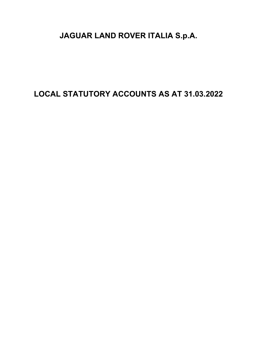# JAGUAR LAND ROVER ITALIA S.p.A.

LOCAL STATUTORY ACCOUNTS AS AT 31.03.2022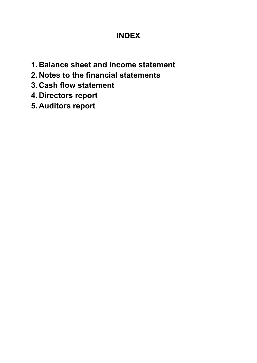# INDEX

- 1. Balance sheet and income statement
- 2. Notes to the financial statements
- 3. Cash flow statement
- 4. Directors report
- 5. Auditors report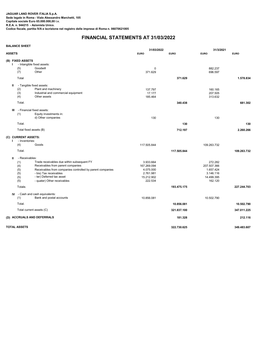|               | <b>BALANCE SHEET</b>                                          |                                                                                                                                                                                                                                    |                                                                             |                           |                                                                           |                           |
|---------------|---------------------------------------------------------------|------------------------------------------------------------------------------------------------------------------------------------------------------------------------------------------------------------------------------------|-----------------------------------------------------------------------------|---------------------------|---------------------------------------------------------------------------|---------------------------|
| <b>ASSETS</b> |                                                               |                                                                                                                                                                                                                                    | 31/03/2022<br><b>EURO</b>                                                   | <b>EURO</b>               | 31/3/2021<br><b>EURO</b>                                                  | <b>EURO</b>               |
|               | (B) FIXED ASSETS<br>(5)<br>(7)<br>Total                       | - Intangible fixed assets:<br>Goodwill<br>Other                                                                                                                                                                                    | 0<br>371.629                                                                | 371.629                   | 882.237<br>696.597                                                        | 1.578.834                 |
|               | Ш<br>(2)<br>(3)<br>(4)<br>Total.                              | - Tangible fixed assets:<br>Plant and machinery<br>Industrial and commercial equipment<br>Other assets                                                                                                                             | 137.797<br>17.177<br>185.464                                                | 340.438                   | 160.165<br>207.505<br>313.632                                             | 681.302                   |
|               | Ш<br>(1)<br>Total.<br>Total fixed assets (B)                  | - Financial fixed assets:<br>Equity investments in:<br>d) Other companies                                                                                                                                                          | 130                                                                         | 130<br>712.197            | 130                                                                       | 130<br>2.260.266          |
|               | (C) CURRENT ASSETS:<br>- Inventories:<br>(4)<br>Total.        | Goods                                                                                                                                                                                                                              | 117.505.844                                                                 | 117.505.844               | 109.263.732                                                               | 109.263.732               |
|               | - Receivables:<br>Ш<br>(1)<br>(4)<br>(5)<br>(5)<br>(5)<br>(5) | Trade receivables due within subsequent FY<br>Receivables from parent companies<br>Receivables from companies controlled by parent companies<br>- bis) Tax receivables<br>- ter) Deferred tax asset<br>- quater) Other receivables | 3.933.664<br>167.269.094<br>4.075.000<br>2.761.981<br>15.212.902<br>222.534 |                           | 272.282<br>207.507.366<br>1.657.424<br>3.146.116<br>14.499.395<br>162.120 |                           |
|               | Totale.<br>(1)                                                | <b>IV</b> - Cash and cash equivalents:<br>Bank and postal accounts                                                                                                                                                                 | 10.856.081                                                                  | 193.475.175               | 10.502.790                                                                | 227.244.703               |
|               | Total.                                                        | Total current assets (C)                                                                                                                                                                                                           |                                                                             | 10.856.081<br>321.837.100 |                                                                           | 10.502.790<br>347.011.225 |
|               |                                                               | (D) ACCRUALS AND DEFERRALS                                                                                                                                                                                                         |                                                                             | 181.328                   |                                                                           | 212.116                   |
|               | <b>TOTAL ASSETS</b>                                           |                                                                                                                                                                                                                                    |                                                                             | 322.730.625               |                                                                           | 349.483.607               |

# FINANCIAL STATEMENTS AT 31/03/2022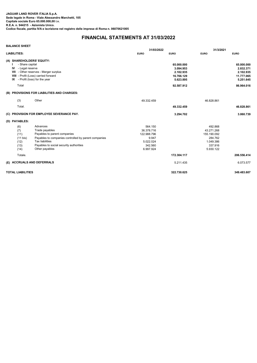# FINANCIAL STATEMENTS AT 31/03/2022

| <b>BALANCE SHEET</b>                                             |                                                                                                                                                                                                           | 31/03/2022                                                                         |                                                                               | 31/3/2021                                                                            |                                                                               |  |
|------------------------------------------------------------------|-----------------------------------------------------------------------------------------------------------------------------------------------------------------------------------------------------------|------------------------------------------------------------------------------------|-------------------------------------------------------------------------------|--------------------------------------------------------------------------------------|-------------------------------------------------------------------------------|--|
| <b>LIABILITIES:</b>                                              |                                                                                                                                                                                                           | <b>EURO</b>                                                                        | <b>EURO</b>                                                                   | <b>EURO</b>                                                                          | <b>EURO</b>                                                                   |  |
| - Share capital<br><b>IV</b> - Legal reserve<br>Total            | (A) SHAREHOLDERS' EQUITY:<br>VII - Other reserves - Merger surplus<br>VIII - Profit (Loss) carried forward<br>IX - Profit (loss) for the year                                                             |                                                                                    | 65.000.000<br>3.094.953<br>2.102.935<br>16.766.129<br>5.623.895<br>92.587.912 |                                                                                      | 65,000,000<br>2.832.371<br>2.102.935<br>11.777.065<br>5.251.645<br>86.964.016 |  |
|                                                                  | (B) PROVISIONS FOR LIABILITIES AND CHARGES:                                                                                                                                                               |                                                                                    |                                                                               |                                                                                      |                                                                               |  |
| (3)                                                              | Other                                                                                                                                                                                                     | 49.332.459                                                                         |                                                                               | 46.828.861                                                                           |                                                                               |  |
| Total.                                                           |                                                                                                                                                                                                           |                                                                                    | 49.332.459                                                                    |                                                                                      | 46.828.861                                                                    |  |
|                                                                  | (C) PROVISION FOR EMPLOYEE SEVERANCE PAY.                                                                                                                                                                 |                                                                                    | 3.294.702                                                                     |                                                                                      | 3.060.739                                                                     |  |
| (D) PAYABLES:                                                    |                                                                                                                                                                                                           |                                                                                    |                                                                               |                                                                                      |                                                                               |  |
| (6)<br>(7)<br>(11)<br>$(11 \text{ bis})$<br>(12)<br>(13)<br>(14) | Advances<br>Trade payables<br>Payables to parent companies<br>Payables to companies controlled by parent companies<br><b>Tax liabilities</b><br>Payables to social security authorities<br>Other payables | 564.150<br>36.378.716<br>122.988.796<br>9.947<br>5.022.024<br>342.560<br>6.997.924 |                                                                               | 492.868<br>43.271.268<br>155.190.092<br>284.762<br>1.049.386<br>337.916<br>5.930.122 |                                                                               |  |
| Totale.                                                          |                                                                                                                                                                                                           |                                                                                    | 172.304.117                                                                   |                                                                                      | 206.556.414                                                                   |  |
|                                                                  | (E) ACCRUALS AND DEFERRALS                                                                                                                                                                                |                                                                                    | 5.211.435                                                                     |                                                                                      | 6.073.577                                                                     |  |
| <b>TOTAL LIABILITIES</b>                                         |                                                                                                                                                                                                           |                                                                                    | 322.730.625                                                                   |                                                                                      | 349.483.607                                                                   |  |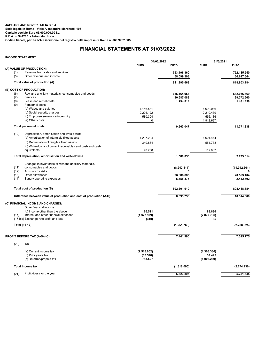### JAGUAR LAND ROVER ITALIA S.p.A. Sede legale in Roma - Viale Alessandro Marchetti, 105 Capitale sociale Euro 65.000.000,00 i.v. R.E.A. n. 944215 - Azionista Unico. Codice fiscale, partita IVA e iscrizione nel registro delle imprese di Roma n. 06070621005

### INCOME STATEMENT

|              |                                                                     | 31/03/2022  |                           | 31/3/2021   |                           |
|--------------|---------------------------------------------------------------------|-------------|---------------------------|-------------|---------------------------|
|              |                                                                     | <b>EURO</b> | <b>EURO</b>               | <b>EURO</b> | <b>EURO</b>               |
|              | (A) VALUE OF PRODUCTION:                                            |             |                           |             |                           |
| (1)<br>(5)   | Revenue from sales and services<br>Other revenue and income         |             | 753.196.360<br>58.099.308 |             | 752.185.540<br>66.617.644 |
|              | Total value of production (A)                                       |             | 811.295.668               |             | 818.803.184               |
|              | (B) COST OF PRODUCTION:                                             |             |                           |             |                           |
| (6)          | Raw and ancillary materials, consumables and goods                  |             | 685.164.956               |             | 682.036.669               |
| (7)          | Services                                                            |             | 80.687.088                |             | 99.372.660                |
| (8)          | Lease and rental costs                                              |             | 1.294.814                 |             | 1.481.458                 |
| (9)          | Personnel costs:                                                    |             |                           |             |                           |
|              | (a) Wages and salaries                                              | 7.156.531   |                           | 6.692.086   |                           |
|              | (b) Social security charges                                         | 2.226.122   |                           | 2.210.439   |                           |
|              | (c) Employee severance indemnity                                    | 580.394     |                           | 556.186     |                           |
|              | (e) Other costs                                                     | 0           |                           | 1.912.627   |                           |
|              | Total personnel costs.                                              |             | 9.963.047                 |             | 11.371.338                |
| (10)         | Depreciation, amortisation and write-downs:                         |             |                           |             |                           |
|              | (a) Amortisation of intangible fixed assets                         | 1.207.204   |                           | 1.601.444   |                           |
|              | (b) Depreciation of tangible fixed assets                           | 340.864     |                           | 551.733     |                           |
|              | (d) Write-downs of current receivables and cash and cash            |             |                           |             |                           |
|              | equivalents                                                         | 40.788      |                           | 119.837     |                           |
|              | Total depreciation, amortisation and write-downs                    |             | 1.588.856                 |             | 2.273.014                 |
|              |                                                                     |             |                           |             |                           |
|              | Changes in inventories of raw and ancillary materials,              |             |                           |             |                           |
| (11)         | consumables and goods                                               |             | (8.242.111)               |             | (11.042.661)              |
| (12)<br>(13) | Accruals for risks<br>Other allowances                              |             |                           |             |                           |
| (14)         |                                                                     |             | 26.686.885                |             | 20.553.404                |
|              | Sundry operating expenses                                           |             | 5.458.375                 |             | 2.442.702                 |
|              | Total cost of production (B)                                        |             | 802.601.910               |             | 808.488.584               |
|              | Difference between value of production and cost of production (A-B) |             | 8.693.758                 |             | 10.314.600                |
|              | (C) FINANCIAL INCOME AND CHARGES:                                   |             |                           |             |                           |
|              | Other financial income:                                             |             |                           |             |                           |
|              | (d) Income other than the above                                     | 76.521      |                           | 88.886      |                           |
| (17)         | Interest and other financial expenses                               | (1.327.979) |                           | (2.877.796) |                           |
|              | (17-bis) Exchange-rate profit and loss                              | (310)       |                           | 85          |                           |
|              | <b>Total (16-17)</b>                                                |             | (1.251.768)               |             | (2.788.825)               |
|              | PROFIT BEFORE TAX (A-B+/-C);                                        |             | 7.441.990                 |             | 7.525.775                 |
|              | Tax                                                                 |             |                           |             |                           |
| (20)         |                                                                     |             |                           |             |                           |
|              | (a) Current income tax                                              | (2.518.062) |                           | (1.303.386) |                           |
|              | (b) Prior years tax                                                 | (13.540)    |                           | 37.495      |                           |
|              | (c) Deferred/prepaid tax                                            | 713.507     |                           | (1.008.239) |                           |
|              | <b>Total income tax</b>                                             |             | (1.818.095)               |             | (2.274.130)               |
|              |                                                                     |             |                           |             |                           |

(21) Profit (loss) for the year  $\overline{5.623.895}$   $\overline{5.623.895}$   $\overline{5.251.645}$ 

# FINANCIAL STATEMENTS AT 31/03/2022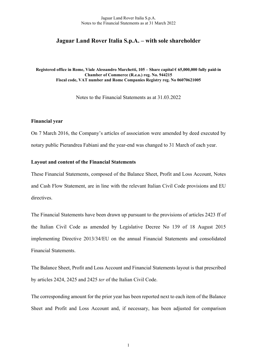# Jaguar Land Rover Italia S.p.A. – with sole shareholder

Registered office in Rome, Viale Alessandro Marchetti, 105 – Share capital € 65,000,000 fully paid-in Chamber of Commerce (R.e.a.) reg. No. 944215 Fiscal code, VAT number and Rome Companies Registry reg. No 06070621005

Notes to the Financial Statements as at 31.03.2022

### Financial year

On 7 March 2016, the Company's articles of association were amended by deed executed by notary public Pierandrea Fabiani and the year-end was changed to 31 March of each year.

### Layout and content of the Financial Statements

These Financial Statements, composed of the Balance Sheet, Profit and Loss Account, Notes and Cash Flow Statement, are in line with the relevant Italian Civil Code provisions and EU directives.

The Financial Statements have been drawn up pursuant to the provisions of articles 2423 ff of the Italian Civil Code as amended by Legislative Decree No 139 of 18 August 2015 implementing Directive 2013/34/EU on the annual Financial Statements and consolidated Financial Statements.

The Balance Sheet, Profit and Loss Account and Financial Statements layout is that prescribed by articles 2424, 2425 and 2425 ter of the Italian Civil Code.

The corresponding amount for the prior year has been reported next to each item of the Balance Sheet and Profit and Loss Account and, if necessary, has been adjusted for comparison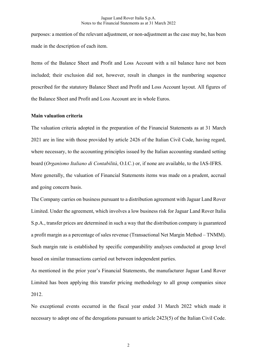purposes: a mention of the relevant adjustment, or non-adjustment as the case may be, has been made in the description of each item.

Items of the Balance Sheet and Profit and Loss Account with a nil balance have not been included; their exclusion did not, however, result in changes in the numbering sequence prescribed for the statutory Balance Sheet and Profit and Loss Account layout. All figures of the Balance Sheet and Profit and Loss Account are in whole Euros.

### Main valuation criteria

The valuation criteria adopted in the preparation of the Financial Statements as at 31 March 2021 are in line with those provided by article 2426 of the Italian Civil Code, having regard, where necessary, to the accounting principles issued by the Italian accounting standard setting board (Organismo Italiano di Contabilità, O.I.C.) or, if none are available, to the IAS-IFRS. More generally, the valuation of Financial Statements items was made on a prudent, accrual and going concern basis.

The Company carries on business pursuant to a distribution agreement with Jaguar Land Rover Limited. Under the agreement, which involves a low business risk for Jaguar Land Rover Italia S.p.A., transfer prices are determined in such a way that the distribution company is guaranteed a profit margin as a percentage of sales revenue (Transactional Net Margin Method – TNMM). Such margin rate is established by specific comparability analyses conducted at group level based on similar transactions carried out between independent parties.

As mentioned in the prior year's Financial Statements, the manufacturer Jaguar Land Rover Limited has been applying this transfer pricing methodology to all group companies since 2012.

No exceptional events occurred in the fiscal year ended 31 March 2022 which made it necessary to adopt one of the derogations pursuant to article 2423(5) of the Italian Civil Code.

2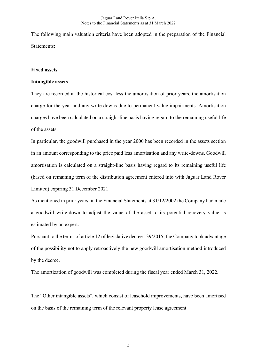The following main valuation criteria have been adopted in the preparation of the Financial Statements:

### Fixed assets

### Intangible assets

They are recorded at the historical cost less the amortisation of prior years, the amortisation charge for the year and any write-downs due to permanent value impairments. Amortisation charges have been calculated on a straight-line basis having regard to the remaining useful life of the assets.

In particular, the goodwill purchased in the year 2000 has been recorded in the assets section in an amount corresponding to the price paid less amortisation and any write-downs. Goodwill amortisation is calculated on a straight-line basis having regard to its remaining useful life (based on remaining term of the distribution agreement entered into with Jaguar Land Rover Limited) expiring 31 December 2021.

As mentioned in prior years, in the Financial Statements at 31/12/2002 the Company had made a goodwill write-down to adjust the value of the asset to its potential recovery value as estimated by an expert.

Pursuant to the terms of article 12 of legislative decree 139/2015, the Company took advantage of the possibility not to apply retroactively the new goodwill amortisation method introduced by the decree.

The amortization of goodwill was completed during the fiscal year ended March 31, 2022.

The "Other intangible assets", which consist of leasehold improvements, have been amortised on the basis of the remaining term of the relevant property lease agreement.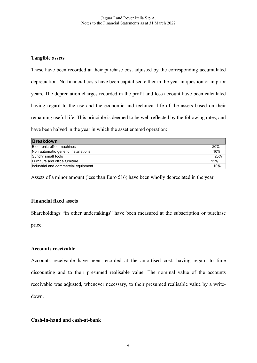# Tangible assets

These have been recorded at their purchase cost adjusted by the corresponding accumulated depreciation. No financial costs have been capitalised either in the year in question or in prior years. The depreciation charges recorded in the profit and loss account have been calculated having regard to the use and the economic and technical life of the assets based on their remaining useful life. This principle is deemed to be well reflected by the following rates, and have been halved in the year in which the asset entered operation:

| <b>Breakdown</b>                    |     |
|-------------------------------------|-----|
| Electronic office machines          | 20% |
| Non automatic generic installations | 10% |
| Sundry small tools                  | 25% |
| Furniture and office furniture      | 12% |
| Industrial and commercial equipment | 10% |

Assets of a minor amount (less than Euro 516) have been wholly depreciated in the year.

# Financial fixed assets

Shareholdings "in other undertakings" have been measured at the subscription or purchase price.

# Accounts receivable

Accounts receivable have been recorded at the amortised cost, having regard to time discounting and to their presumed realisable value. The nominal value of the accounts receivable was adjusted, whenever necessary, to their presumed realisable value by a writedown.

# Cash-in-hand and cash-at-bank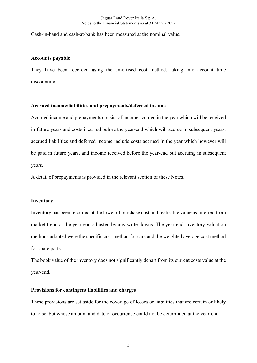Cash-in-hand and cash-at-bank has been measured at the nominal value.

### Accounts payable

They have been recorded using the amortised cost method, taking into account time discounting.

### Accrued income/liabilities and prepayments/deferred income

Accrued income and prepayments consist of income accrued in the year which will be received in future years and costs incurred before the year-end which will accrue in subsequent years; accrued liabilities and deferred income include costs accrued in the year which however will be paid in future years, and income received before the year-end but accruing in subsequent years.

A detail of prepayments is provided in the relevant section of these Notes.

### Inventory

Inventory has been recorded at the lower of purchase cost and realisable value as inferred from market trend at the year-end adjusted by any write-downs. The year-end inventory valuation methods adopted were the specific cost method for cars and the weighted average cost method for spare parts.

The book value of the inventory does not significantly depart from its current costs value at the year-end.

### Provisions for contingent liabilities and charges

These provisions are set aside for the coverage of losses or liabilities that are certain or likely to arise, but whose amount and date of occurrence could not be determined at the year-end.

5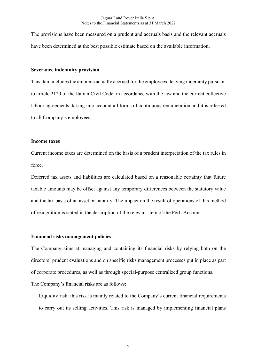The provisions have been measured on a prudent and accruals basis and the relevant accruals have been determined at the best possible estimate based on the available information.

### Severance indemnity provision

This item includes the amounts actually accrued for the employees' leaving indemnity pursuant to article 2120 of the Italian Civil Code, in accordance with the law and the current collective labour agreements, taking into account all forms of continuous remuneration and it is referred to all Company's employees.

### Income taxes

Current income taxes are determined on the basis of a prudent interpretation of the tax rules in force.

Deferred tax assets and liabilities are calculated based on a reasonable certainty that future taxable amounts may be offset against any temporary differences between the statutory value and the tax basis of an asset or liability. The impact on the result of operations of this method of recognition is stated in the description of the relevant item of the P&L Account.

### Financial risks management policies

The Company aims at managing and containing its financial risks by relying both on the directors' prudent evaluations and on specific risks management processes put in place as part of corporate procedures, as well as through special-purpose centralized group functions.

The Company's financial risks are as follows:

Liquidity risk: this risk is mainly related to the Company's current financial requirements to carry out its selling activities. This risk is managed by implementing financial plans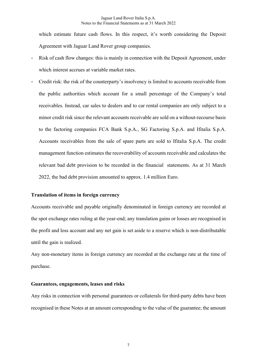which estimate future cash flows. In this respect, it's worth considering the Deposit Agreement with Jaguar Land Rover group companies.

- Risk of cash flow changes: this is mainly in connection with the Deposit Agreement, under which interest accrues at variable market rates.
- Credit risk: the risk of the counterparty's insolvency is limited to accounts receivable from the public authorities which account for a small percentage of the Company's total receivables. Instead, car sales to dealers and to car rental companies are only subject to a minor credit risk since the relevant accounts receivable are sold on a without-recourse basis to the factoring companies FCA Bank S.p.A., SG Factoring S.p.A. and Ifitalia S.p.A. Accounts receivables from the sale of spare parts are sold to Ifitalia S.p.A. The credit management function estimates the recoverability of accounts receivable and calculates the relevant bad debt provision to be recorded in the financial statements. As at 31 March 2022, the bad debt provision amounted to approx. 1.4 million Euro.

### Translation of items in foreign currency

Accounts receivable and payable originally denominated in foreign currency are recorded at the spot exchange rates ruling at the year-end; any translation gains or losses are recognised in the profit and loss account and any net gain is set aside to a reserve which is non-distributable until the gain is realized.

Any non-monetary items in foreign currency are recorded at the exchange rate at the time of purchase.

### Guarantees, engagements, leases and risks

Any risks in connection with personal guarantees or collaterals for third-party debts have been recognised in these Notes at an amount corresponding to the value of the guarantee; the amount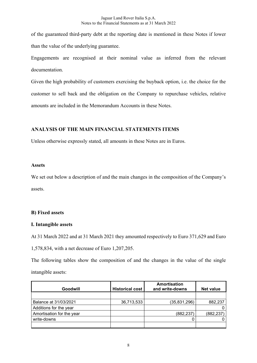of the guaranteed third-party debt at the reporting date is mentioned in these Notes if lower than the value of the underlying guarantee.

Engagements are recognised at their nominal value as inferred from the relevant documentation.

Given the high probability of customers exercising the buyback option, i.e. the choice for the customer to sell back and the obligation on the Company to repurchase vehicles, relative amounts are included in the Memorandum Accounts in these Notes.

# ANALYSIS OF THE MAIN FINANCIAL STATEMENTS ITEMS

Unless otherwise expressly stated, all amounts in these Notes are in Euros.

## Assets

We set out below a description of and the main changes in the composition of the Company's assets.

# B) Fixed assets

# I. Intangible assets

At 31 March 2022 and at 31 March 2021 they amounted respectively to Euro 371,629 and Euro

1,578,834, with a net decrease of Euro 1,207,205.

The following tables show the composition of and the changes in the value of the single intangible assets:

| Goodwill                  | <b>Historical cost</b> | Amortisation<br>and write-downs | <b>Net value</b> |
|---------------------------|------------------------|---------------------------------|------------------|
|                           |                        |                                 |                  |
| Balance at 31/03/2021     | 36,713,533             | (35, 831, 296)                  | 882,237          |
| Additions for the year    |                        |                                 |                  |
| Amortisation for the year |                        | (882, 237)                      | (882,237         |
| write-downs               |                        |                                 |                  |
|                           |                        |                                 |                  |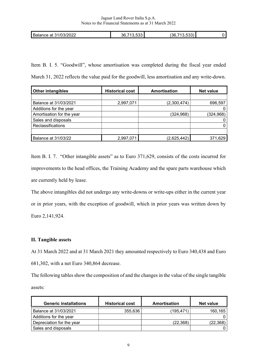| מחחו<br>D,<br>31/0.7<br>Balance at<br>ZUZZ<br>. | $\sim$<br>36<br>. .<br>.<br>. . | $\sim$ $\sim$ $\sim$<br>'36<br>. |  |
|-------------------------------------------------|---------------------------------|----------------------------------|--|
|                                                 |                                 |                                  |  |

Item B. I. 5. "Goodwill", whose amortisation was completed during the fiscal year ended March 31, 2022 reflects the value paid for the goodwill, less amortisation and any write-down.

| <b>Other intangibles</b>   | <b>Historical cost</b> | Amortisation | <b>Net value</b> |
|----------------------------|------------------------|--------------|------------------|
|                            |                        |              |                  |
| Balance at 31/03/2021      | 2,997,071              | (2,300,474)  | 696,597          |
| Additions for the year     |                        |              | 0                |
| Amortisation for the year  |                        | (324, 968)   | (324, 968)       |
| Sales and disposals        |                        |              | 0                |
| Reclassifications          |                        |              | 0                |
|                            |                        |              |                  |
| <b>Balance at 31/03/22</b> | 2,997,071              | (2,625,442)  | 371,629          |

Item B. I. 7. "Other intangible assets" as to Euro 371,629, consists of the costs incurred for improvements to the head offices, the Training Academy and the spare parts warehouse which are currently held by lease.

The above intangibles did not undergo any write-downs or write-ups either in the current year or in prior years, with the exception of goodwill, which in prior years was written down by Euro 2,141,924.

# II. Tangible assets

At 31 March 2022 and at 31 March 2021 they amounted respectively to Euro 340,438 and Euro 681,302, with a net Euro 340,864 decrease.

The following tables show the composition of and the changes in the value of the single tangible assets:

| <b>Generic installations</b> | <b>Historical cost</b> | Amortisation | Net value |
|------------------------------|------------------------|--------------|-----------|
| Balance at 31/03/2021        | 355,636                | (195,471)    | 160,165   |
| Additions for the year       |                        |              |           |
| Depreciation for the year    |                        | (22, 368)    | (22, 368) |
| Sales and disposals          |                        |              |           |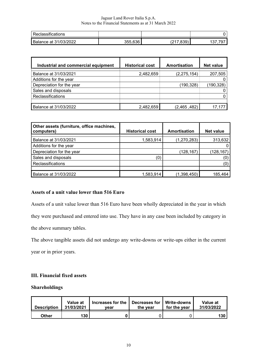| <b>Reclassitications</b>     |         |            |    |
|------------------------------|---------|------------|----|
| <b>Balance at 31/03/2022</b> | 355,636 | nnn'<br>uu | ັບ |

| Industrial and commercial equipment | <b>Historical cost</b> | Amortisation  | <b>Net value</b> |
|-------------------------------------|------------------------|---------------|------------------|
| Balance at 31/03/2021               | 2,482,659              | (2, 275, 154) | 207,505          |
| Additions for the year              |                        |               |                  |
| Depreciation for the year           |                        | (190,328)     | (190,328)        |
| Sales and disposals                 |                        |               |                  |
| <b>Reclassifications</b>            |                        |               |                  |
|                                     |                        |               |                  |
| Balance at 31/03/2022               | 2,482,659              | (2,465,482)   |                  |

| Other assets (furniture, office machines,<br>computers) | <b>Historical cost</b> | <b>Amortisation</b> | <b>Net value</b> |
|---------------------------------------------------------|------------------------|---------------------|------------------|
| Balance at 31/03/2021                                   | 1,583,914              | (1,270,283)         | 313,632          |
| Additions for the year                                  |                        |                     |                  |
| Depreciation for the year                               |                        | (128, 167)          | 128,167          |
| Sales and disposals                                     | (0)                    |                     | (O)              |
| Reclassifications                                       |                        |                     | (0)              |
|                                                         |                        |                     |                  |
| Balance at 31/03/2022                                   | 1,583,914              | (1,398,450)         | 185,464          |

# Assets of a unit value lower than 516 Euro

Assets of a unit value lower than 516 Euro have been wholly depreciated in the year in which they were purchased and entered into use. They have in any case been included by category in the above summary tables.

The above tangible assets did not undergo any write-downs or write-ups either in the current

year or in prior years.

# III. Financial fixed assets

# Shareholdings

| <b>Description</b> | Value at<br>31/03/2021 | Increases for the<br>vear | Decreases for   Write-downs<br>the vear | for the year | Value at<br>31/03/2022 |
|--------------------|------------------------|---------------------------|-----------------------------------------|--------------|------------------------|
| <b>Other</b>       | 130                    |                           |                                         |              | 130                    |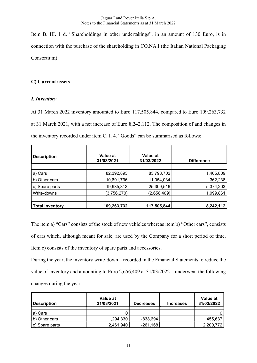Item B. III. 1 d. "Shareholdings in other undertakings", in an amount of 130 Euro, is in connection with the purchase of the shareholding in CO.NA.I (the Italian National Packaging Consortium).

# C) Current assets

# I. Inventory

At 31 March 2022 inventory amounted to Euro 117,505,844, compared to Euro 109,263,732 at 31 March 2021, with a net increase of Euro 8,242,112. The composition of and changes in the inventory recorded under item C. I. 4. "Goods" can be summarised as follows:

| <b>Description</b>     | Value at<br>31/03/2021 | Value at<br>31/03/2022 | <b>Difference</b> |
|------------------------|------------------------|------------------------|-------------------|
|                        |                        |                        |                   |
| a) Cars                | 82,392,893             | 83,798,702             | 1,405,809         |
| b) Other cars          | 10,691,796             | 11,054,034             | 362,238           |
| Spare parts<br>C)      | 19,935,313             | 25,309,516             | 5,374,203         |
| Write-downs            | (3,756,270)            | (2,656,409)            | 1,099,861         |
|                        |                        |                        |                   |
| <b>Total inventory</b> | 109,263,732            | 117,505,844            | 8,242,112         |

The item a) "Cars" consists of the stock of new vehicles whereas item b) "Other cars", consists of cars which, although meant for sale, are used by the Company for a short period of time. Item c) consists of the inventory of spare parts and accessories.

During the year, the inventory write-down – recorded in the Financial Statements to reduce the value of inventory and amounting to Euro 2,656,409 at 31/03/2022 – underwent the following changes during the year:

| <b>Description</b> | Value at<br>31/03/2021 | <b>Decreases</b> | <b>Increases</b> | Value at<br>31/03/2022 |
|--------------------|------------------------|------------------|------------------|------------------------|
| a) Cars            |                        |                  |                  |                        |
| b) Other cars      | 1,294,330              | -838,694         |                  | 455,637                |
| c) Spare parts     | 2,461,940              | $-261,168$       |                  | 2,200,772              |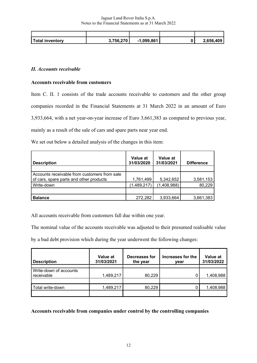| Total inventory | 3.756.270 | $-1,099,861$ | 2.656.409 |
|-----------------|-----------|--------------|-----------|

# II. Accounts receivable

## Accounts receivable from customers

Item C. II. 1 consists of the trade accounts receivable to customers and the other group companies recorded in the Financial Statements at 31 March 2022 in an amount of Euro 3,933,664, with a net year-on-year increase of Euro 3,661,383 as compared to previous year, mainly as a result of the sale of cars and spare parts near year end.

We set out below a detailed analysis of the changes in this item:

| <b>Description</b>                                                                      | Value at<br>31/03/2020 | Value at<br>31/03/2021 | <b>Difference</b> |
|-----------------------------------------------------------------------------------------|------------------------|------------------------|-------------------|
|                                                                                         |                        |                        |                   |
| Accounts receivable from customers from sale<br>of cars, spare parts and other products | 1,761,499              | 5,342,652              | 3,581,153         |
| Write-down                                                                              | (1,489,217)            | (1,408,988)            | 80,229            |
|                                                                                         |                        |                        |                   |
| <b>Balance</b>                                                                          | 272,282                | 3,933,664              | 3,661,383         |

All accounts receivable from customers fall due within one year.

The nominal value of the accounts receivable was adjusted to their presumed realisable value

by a bad debt provision which during the year underwent the following changes:

| <b>Description</b>                   | Value at<br>31/03/2021 | Decreases for<br>the year | Increases for the<br>vear | Value at<br>31/03/2022 |
|--------------------------------------|------------------------|---------------------------|---------------------------|------------------------|
| Write-down of accounts<br>receivable | 1,489,217              | 80,229                    |                           | 1,408,988              |
| Total write-down                     | 1,489,217              | 80,229                    |                           | 1,408,988              |

Accounts receivable from companies under control by the controlling companies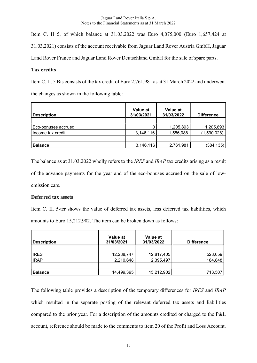Item C. II 5, of which balance at 31.03.2022 was Euro 4,075,000 (Euro 1,657,424 at 31.03.2021) consists of the account receivable from Jaguar Land Rover Austria GmbH, Jaguar Land Rover France and Jaguar Land Rover Deutschland GmbH for the sale of spare parts.

## Tax credits

Item C. II. 5 Bis consists of the tax credit of Euro 2,761,981 as at 31 March 2022 and underwent the changes as shown in the following table:

| <b>Description</b>  | Value at<br>31/03/2021 | Value at<br>31/03/2022 | <b>Difference</b> |
|---------------------|------------------------|------------------------|-------------------|
|                     |                        |                        |                   |
| Eco-bonuses accrued |                        | 1,205,893              | 1,205,893         |
| Income tax credit   | 3,146,116              | 1,556,088              | (1,590,028)       |
|                     |                        |                        |                   |
| <b>Balance</b>      | 3,146,116              | 2,761,981              | (384,135)         |

The balance as at 31.03.2022 wholly refers to the *IRES* and *IRAP* tax credits arising as a result of the advance payments for the year and of the eco-bonuses accrued on the sale of lowemission cars.

## Deferred tax assets

Item C. II. 5-ter shows the value of deferred tax assets, less deferred tax liabilities, which amounts to Euro 15,212,902. The item can be broken down as follows:

| <b>Description</b> | Value at<br>31/03/2021 | Value at<br>31/03/2022 | <b>Difference</b> |
|--------------------|------------------------|------------------------|-------------------|
|                    |                        |                        |                   |
| <b>IRES</b>        | 12,288,747             | 12,817,405             | 528,659           |
| <b>IRAP</b>        | 2,210,648              | 2,395,497              | 184,848           |
|                    |                        |                        |                   |
| <b>Balance</b>     | 14,499,395             | 15,212,902             | 713,507           |

The following table provides a description of the temporary differences for IRES and IRAP which resulted in the separate posting of the relevant deferred tax assets and liabilities compared to the prior year. For a description of the amounts credited or charged to the P&L account, reference should be made to the comments to item 20 of the Profit and Loss Account.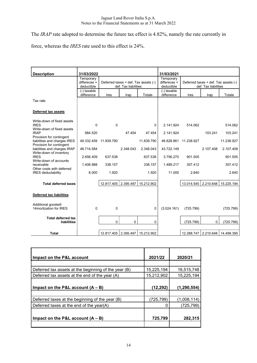The IRAP rate adopted to determine the future tax effect is 4.82%, namely the rate currently in

force, whereas the IRES rate used to this effect is 24%.

| <b>Description</b>                                                                   | 31/03/2022                              |            |                      |                                      | 31/03/2021                              |                      |                                                              |                                 |
|--------------------------------------------------------------------------------------|-----------------------------------------|------------|----------------------|--------------------------------------|-----------------------------------------|----------------------|--------------------------------------------------------------|---------------------------------|
|                                                                                      | Temporary<br>differeces +<br>deductible |            | def. Tax liabilities | Deferred taxes + def. Tax assets (-) | Temporary<br>differeces +<br>deductible |                      | Deferred taxes + def. Tax assets (-)<br>def. Tax liabilities |                                 |
|                                                                                      | (-) taxable<br>difference               | Ires       | Irap                 | Totale                               | (-) taxable<br>difference               | Ires                 | Irap                                                         | Totale                          |
| Tax rate                                                                             |                                         |            |                      |                                      |                                         |                      |                                                              |                                 |
| <b>Deferred tax assets</b>                                                           |                                         |            |                      |                                      |                                         |                      |                                                              |                                 |
| Write-down of fixed assets<br><b>IRES</b><br>Write-down of fixed assets              | $\mathbf 0$                             | 0          |                      | 0                                    | 2.141.924                               | 514.062              |                                                              | 514.062                         |
| <b>IRAP</b>                                                                          | 984.520                                 |            | 47.454               | 47.454                               | 2.141.924                               |                      | 103.241                                                      | 103.241                         |
| Provision for contingent<br>liabilities and charges IRES<br>Provision for contingent | 49.332.459                              | 11.839.790 |                      | 11.839.790                           | 46.828.861                              | 11.238.927           |                                                              | 11.238.927                      |
| liabilities and charges IRAP<br>Write-down of inventory                              | 48.714.584                              |            | 2.348.043            | 2.348.043                            | 43.722.149                              |                      | 2.107.408                                                    | 2.107.408                       |
| <b>IRES</b>                                                                          | 2.656.409                               | 637.538    |                      | 637.538                              | 3.756.270                               | 901.505              |                                                              | 901.505                         |
| Write-down of accounts<br>receivable                                                 | 1.408.988                               | 338.157    |                      | 338.157                              | 1.489.217                               | 357.412              |                                                              | 357.412                         |
| Other costs with deferred<br><b>IRES</b> deductability                               | 8.000                                   | 1.920      |                      | 1.920                                | 11.000                                  | 2.640                |                                                              | 2.640                           |
| <b>Total deferred taxes</b>                                                          |                                         | 12.817.405 | 2.395.497            | 15.212.902                           |                                         | 13.014.545 2.210.648 |                                                              | 15.225.194                      |
| Deferred tax liabilities                                                             |                                         |            |                      |                                      |                                         |                      |                                                              |                                 |
| Additional goodwill<br>14 mortization for IRES                                       | $\mathbf 0$                             | 0          |                      | $\Omega$                             | (3.024.161)                             | (725.799)            |                                                              | (725.799)                       |
| <b>Total deferred tax</b><br>liabilities                                             |                                         | 0          | $\mathbf{0}$         | 0                                    |                                         | (725.799)            | $\Omega$                                                     | (725.799)                       |
|                                                                                      |                                         |            |                      |                                      |                                         |                      |                                                              |                                 |
| <b>Total</b>                                                                         |                                         | 12.817.405 | 2.395.497            | 15.212.902                           |                                         |                      |                                                              | 12.288.747 2.210.648 14.499.395 |

| Impact on the P&L account                            | 2021/22    | 2020/21       |
|------------------------------------------------------|------------|---------------|
|                                                      |            |               |
| Deferred tax assets at the beginning of the year (B) | 15,225,194 | 16,515,748    |
| Deferred tax assets at the end of the year (A)       | 15,212,902 | 15,225,194    |
| Impact on the P&L account $(A - B)$                  | (12, 292)  | (1, 290, 554) |
| Deferred taxes at the beginning of the year (B)      | (725, 799) | (1,008,114)   |
| Deferred taxes at the end of the year(A)             |            | (725, 799)    |
| Impact on the P&L account $(A - B)$                  | 725,799    | 282,315       |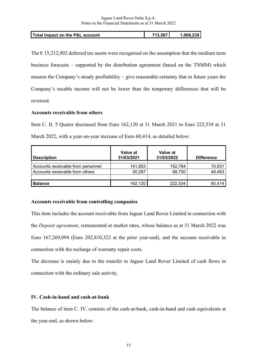|  | Total impact on the P&L account | 713,507 | 1.008.239 |
|--|---------------------------------|---------|-----------|
|--|---------------------------------|---------|-----------|

The  $\epsilon$  15,212,902 deferred tax assets were recognised on the assumption that the medium term business forecasts – supported by the distribution agreement (based on the TNMM) which ensures the Company's steady profitability – give reasonable certainty that in future years the Company's taxable income will not be lower than the temporary differences that will be reversed.

## Accounts receivable from others

Item C. II. 5 Quater decreased from Euro 162,120 at 31 March 2021 to Euro 222,534 at 31 March 2022, with a year-on-year increase of Euro 60,414, as detailed below:

| <b>Description</b>                 | Value at<br>31/03/2021 | Value at<br>31/03/2022 | <b>Difference</b> |
|------------------------------------|------------------------|------------------------|-------------------|
| Accounts receivable from personnel | 141,853                | 152,784                | 10,931            |
| Accounts receivable from others    | 20,267                 | 69,750                 | 49,483            |
| <b>Balance</b>                     | 162,120                | 222,534                | 60,414            |

## Accounts receivable from controlling companies

This item includes the account receivable from Jaguar Land Rover Limited in connection with the Deposit agreement, remunerated at market rates, whose balance as at 31 March 2022 was Euro 167,269,094 (Euro 202,810,322 at the prior year-end), and the account receivable in connection with the recharge of warranty repair costs.

The decrease is mainly due to the transfer to Jaguar Land Rover Limited of cash flows in connection with the ordinary sale activity.

## IV. Cash-in-hand and cash-at-bank

The balance of item C. IV. consists of the cash-at-bank, cash-in-hand and cash equivalents at the year-end, as shown below: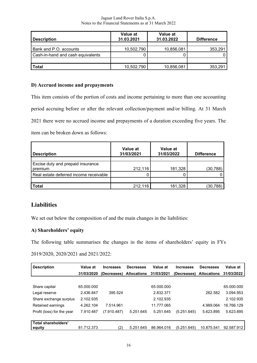| Jaguar Land Rover Italia S.p.A.                       |
|-------------------------------------------------------|
| Notes to the Financial Statements as at 31 March 2022 |

| <b>Description</b>                | Value at<br>31.03.2021 | Value at<br>31.03.2022 | <b>Difference</b> |
|-----------------------------------|------------------------|------------------------|-------------------|
|                                   |                        |                        |                   |
| Bank and P.O. accounts            | 10,502,790             | 10,856,081             | 353,291           |
| Cash-in-hand and cash equivalents |                        |                        |                   |
|                                   |                        |                        |                   |
| <b>Total</b>                      | 10,502,790             | 10,856,081             | 353,291           |

# D) Accrued income and prepayments

This item consists of the portion of costs and income pertaining to more than one accounting period accruing before or after the relevant collection/payment and/or billing. At 31 March 2021 there were no accrued income and prepayments of a duration exceeding five years. The item can be broken down as follows:

 $\mathbb{R}$ 

| <b>Description</b>                           | Value at<br>31/03/2021 | Value at<br>31/03/2022 | <b>Difference</b> |
|----------------------------------------------|------------------------|------------------------|-------------------|
| Excise duty and prepaid insurance<br>premium | 212,116                | 181,328                | (30, 788)         |
| Real estate deferred income receivable       |                        |                        | 0                 |
| <b>Total</b>                                 | 212,116                | 181,328                | (30, 788)         |

# Liabilities

We set out below the composition of and the main changes in the liabilities:

# A) Shareholders' equity

The following table summarises the changes in the items of shareholders' equity in FYs

2019/2020, 2020/2021 and 2021/2022:

| <b>Description</b>                   | Value at   | <b>Increases</b> | <b>Decreases</b>   | Value at   | <b>Increases</b> | <b>Decreases</b>   | Value at   |
|--------------------------------------|------------|------------------|--------------------|------------|------------------|--------------------|------------|
|                                      | 31/03/2020 | (Decreases)      | <b>Allocations</b> | 31/03/2021 | (Decreases)      | <b>Allocations</b> | 31/03/2022 |
|                                      |            |                  |                    |            |                  |                    |            |
| Share capital                        | 65.000.000 |                  |                    | 65.000.000 |                  |                    | 65.000.000 |
| Legal reserve                        | 2.436.847  | 395.524          |                    | 2.832.371  |                  | 262.582            | 3.094.953  |
| Share exchange surplus               | 2.102.935  |                  |                    | 2.102.935  |                  |                    | 2.102.935  |
| Retained earnings                    | 4.262.104  | 7.514.961        |                    | 11.777.065 |                  | 4.989.064          | 16.766.129 |
| Profit (loss) for the year           | 7.910.487  | (7.910.487)      | 5.251.645          | 5.251.645  | (5.251.645)      | 5.623.895          | 5.623.895  |
|                                      |            |                  |                    |            |                  |                    |            |
| <b>Total shareholders'</b><br>equity | 81.712.373 | (2)              | 5.251.645          | 86.964.016 | (5.251.645)      | 10.875.541         | 92.587.912 |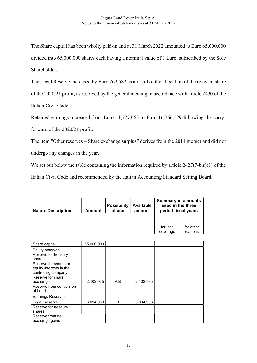The Share capital has been wholly paid-in and at 31 March 2022 amounted to Euro 65,000,000 divided into 65,000,000 shares each having a nominal value of 1 Euro, subscribed by the Sole Shareholder.

The Legal Reserve increased by Euro 262,582 as a result of the allocation of the relevant share of the 2020/21 profit, as resolved by the general meeting in accordance with article 2430 of the Italian Civil Code.

Retained earnings increased from Euro 11,777,065 to Euro 16,766,129 following the carryforward of the 2020/21 profit.

The item "Other reserves – Share exchange surplus" derives from the 2011 merger and did not undergo any changes in the year.

We set out below the table containing the information required by article  $2427(7-bis)(1)$  of the Italian Civil Code and recommended by the Italian Accounting Standard Setting Board.

| <b>Nature/Description</b> | Amount | <b>Possibility</b><br>of use | <b>Available</b><br>amount | <b>Summary of amounts</b><br>used in the three<br>period fiscal years |                      |
|---------------------------|--------|------------------------------|----------------------------|-----------------------------------------------------------------------|----------------------|
|                           |        |                              |                            |                                                                       |                      |
|                           |        |                              |                            | for loss<br>coverage                                                  | for other<br>reasons |

| Share capital                                                           | 65.000.000 |              |           |  |
|-------------------------------------------------------------------------|------------|--------------|-----------|--|
| Equity reserves:                                                        |            |              |           |  |
| Reserve for treasury<br>shares                                          |            |              |           |  |
| Reserve for shares or<br>equity interests in the<br>controlling company |            |              |           |  |
| Reserve for share<br>exchange                                           | 2.102.935  | A,B          | 2.102.935 |  |
| Reserve from conversion<br>of bonds                                     |            |              |           |  |
| Earnings Reserves:                                                      |            |              |           |  |
| Legal Reserve                                                           | 3.094.953  | <sub>B</sub> | 3.094.953 |  |
| Reserve for treasury<br>shares                                          |            |              |           |  |
| Reserve from net<br>exchange gains                                      |            |              |           |  |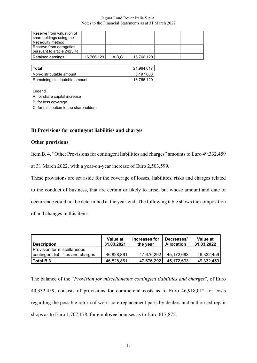| Reserve from valuation of<br>shareholdings using the<br>Net equity method |            |       |            |  |
|---------------------------------------------------------------------------|------------|-------|------------|--|
| Reserve from derogation<br>pursuant to article 2423(4)                    |            |       |            |  |
| Retained earnings                                                         | 16.766.129 | A.B.C | 16.766.129 |  |

| ∣ Total                        | 21.964.017 |
|--------------------------------|------------|
| Non-distributable amount       | 5.197.888  |
| Remaining distributable amount | 16.766.129 |

Legend

A: for share capital increase

B: for loss coverage

C: for distribution to the shareholders

## B) Provisions for contingent liabilities and charges

### Other provisions

Item B. 4. "Other Provisions for contingent liabilities and charges" amounts to Euro 49,332,459

at 31 March 2022, with a year-on-year increase of Euro 2,503,599.

These provisions are set aside for the coverage of losses, liabilities, risks and charges related to the conduct of business, that are certain or likely to arise, but whose amount and date of occurrence could not be determined at the year-end. The following table shows the composition of and changes in this item:

| <b>Description</b>                                                  | Value at<br>31.03.2021 | Increases for<br>the vear | Decreases/<br><b>Allocation</b> | Value at<br>31.03.2022 |
|---------------------------------------------------------------------|------------------------|---------------------------|---------------------------------|------------------------|
| l Provision for miscellaneous<br>contingent liabilities and charges | 46,828,861             | 47,676,292                | 45,172,693                      | 49.332.459             |
| l Total B.3                                                         | 46.828.861             | 47,676,292                | 45,172,693                      | 49.332.459             |

The balance of the "Provision for miscellaneous contingent liabilities and charges", of Euro 49,332,459, consists of provisions for commercial costs as to Euro 46,918,012 for costs regarding the possible return of worn-core replacement parts by dealers and authorised repair shops as to Euro 1,707,178, for employee bonuses as to Euro 617,875.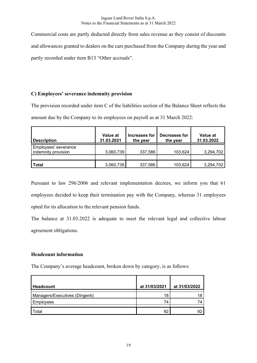Commercial costs are partly deducted directly from sales revenue as they consist of discounts and allowances granted to dealers on the cars purchased from the Company during the year and partly recorded under item B13 "Other accruals".

# C) Employees' severance indemnity provision

The provision recorded under item C of the liabilities section of the Balance Sheet reflects the amount due by the Company to its employees on payroll as at 31 March 2022:

| <b>Description</b>                          | Value at<br>31.03.2021 | Increases for<br>the year | Decreases for<br>the year | Value at<br>31.03.2022 |
|---------------------------------------------|------------------------|---------------------------|---------------------------|------------------------|
| Employees' severance<br>indemnity provision | 3,060,739              | 337,586                   | 103,624                   | 3,294,702              |
| <b>Total</b>                                | 3,060,739              | 337,586                   | 103,624                   | 3,294,702              |

Pursuant to law 296/2006 and relevant implementation decrees, we inform you that 61 employees decided to keep their termination pay with the Company, whereas 31 employees opted for its allocation to the relevant pension funds.

The balance at 31.03.2022 is adequate to meet the relevant legal and collective labour agreement obligations.

# Headcount information

The Company's average headcount, broken down by category, is as follows:

| Headcount                       | at 31/03/2021 | at 31/03/2022 |
|---------------------------------|---------------|---------------|
| Managers/Executives (Dirigenti) | 18            |               |
| Employees                       | 74            |               |
| Total                           | 92            | 92            |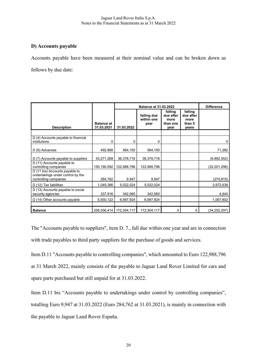# D) Accounts payable

Accounts payable have been measured at their nominal value and can be broken down as follows by due date:

|                                                                                              |                                 |                           | <b>Balance at 31.03.2022</b>      |                                                  |                                                 |                |
|----------------------------------------------------------------------------------------------|---------------------------------|---------------------------|-----------------------------------|--------------------------------------------------|-------------------------------------------------|----------------|
| <b>Description</b>                                                                           | <b>Balance at</b><br>31.03.2021 | 31.03.2022                | falling due<br>within one<br>year | falling<br>due after<br>more<br>than one<br>year | falling<br>due after<br>more<br>than 5<br>years |                |
|                                                                                              |                                 |                           |                                   |                                                  |                                                 |                |
| D (4) Accounts payable to financial<br>institutions                                          | 0                               | 0                         | 0                                 |                                                  |                                                 | 0              |
| D (6) Advances                                                                               | 492,868                         | 564,150                   | 564,150                           |                                                  |                                                 | 71,282         |
| D (7) Accounts payable to suppliers                                                          | 43,271,268                      | 36,378,716                | 36,378,716                        |                                                  |                                                 | (6.892, 552)   |
| D (11) Accounts payable to<br>controlling companies                                          | 155,190,092                     | 122,988,796               | 122,988,796                       |                                                  |                                                 | (32, 201, 296) |
| D (11 bis) Accounts payable to<br>undertakings under control by the<br>controlling companies | 284,762                         | 9.947                     | 9.947                             |                                                  |                                                 | (274, 815)     |
| D (12) Tax liabilities                                                                       | 1,049,386                       | 5,022,024                 | 5,022,024                         |                                                  |                                                 | 3,972,638      |
| D (13) Accounts payable to social<br>security agencies                                       | 337,916                         | 342,560                   | 342,560                           |                                                  |                                                 | 4,644          |
| D (14) Other accounts payable                                                                | 5,930,122                       | 6,997,924                 | 6,997,924                         |                                                  |                                                 | 1,067,802      |
|                                                                                              |                                 |                           |                                   |                                                  |                                                 |                |
| <b>Balance</b>                                                                               |                                 | 206,556,414   172,304,117 | 172,304,117                       | $\Omega$                                         | $\mathbf{0}$                                    | (34, 252, 297) |

The "Accounts payable to suppliers", item D. 7., fall due within one year and are in connection with trade payables to third party suppliers for the purchase of goods and services.

Item D.11 "Accounts payable to controlling companies", which amounted to Euro 122,988,796 at 31 March 2022, mainly consists of the payable to Jaguar Land Rover Limited for cars and spare parts purchased but still unpaid for at 31.03.2022.

Item D.11 bis "Accounts payable to undertakings under control by controlling companies", totalling Euro 9,947 at 31.03.2022 (Euro 284,762 at 31.03.2021), is mainly in connection with the payable to Jaguar Land Rover España.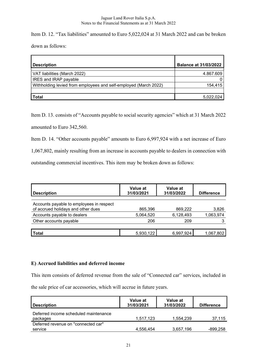Item D. 12. "Tax liabilities" amounted to Euro 5,022,024 at 31 March 2022 and can be broken down as follows:

| <b>Description</b>                                               | <b>Balance at 31/03/2022</b> |
|------------------------------------------------------------------|------------------------------|
| VAT liabilities (March 2022)                                     | 4.867.609                    |
| IRES and IRAP payable                                            |                              |
| Withholding levied from employees and self-employed (March 2022) | 154,415                      |
|                                                                  |                              |
| <b>Total</b>                                                     | 5,022,024                    |

Item D. 13. consists of "Accounts payable to social security agencies" which at 31 March 2022 amounted to Euro 342,560.

Item D. 14. "Other accounts payable" amounts to Euro 6,997,924 with a net increase of Euro

1,067,802, mainly resulting from an increase in accounts payable to dealers in connection with

outstanding commercial incentives. This item may be broken down as follows:

| <b>Description</b>                                                             | Value at<br>31/03/2021 | Value at<br>31/03/2022 | <b>Difference</b> |
|--------------------------------------------------------------------------------|------------------------|------------------------|-------------------|
| Accounts payable to employees in respect<br>of accrued holidays and other dues | 865,396                | 869,222                | 3,826             |
| Accounts payable to dealers                                                    | 5,064,520              | 6,128,493              | 1,063,974         |
| Other accounts payable                                                         | 206                    | 209                    |                   |
|                                                                                |                        |                        |                   |
| <b>Total</b>                                                                   | 5,930,122              | 6,997,924              | 1,067,802         |

# E) Accrued liabilities and deferred income

This item consists of deferred revenue from the sale of "Connected car" services, included in

the sale price of car accessories, which will accrue in future years.

| Value at<br>31/03/2021 | Value at<br>31/03/2022 | <b>Difference</b> |
|------------------------|------------------------|-------------------|
| 1,517,123              | 1,554,239              | 37,115            |
|                        |                        | $-899,258$        |
|                        | 4,556,454              | 3,657,196         |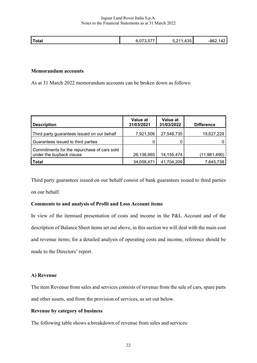|              | ---- | ם מ<br>_ |             |
|--------------|------|----------|-------------|
| <b>Total</b> |      | יי       | - 72<br>◡◡▭ |

### Memorandum accounts

As at 31 March 2022 memorandum accounts can be broken down as follows:

| <b>Description</b>                                                      | Value at<br>31/03/2021 | <b>Value at</b><br>31/03/2022 | <b>Difference</b> |
|-------------------------------------------------------------------------|------------------------|-------------------------------|-------------------|
| Third party guarantees issued on our behalf                             | 7,921,506              | 27,548,735                    | 19,627,229        |
| Guarantees issued to third parties                                      |                        |                               |                   |
| Commitments for the repurchase of cars sold<br>under the buyback clause | 26,136,965             | 14, 155, 474                  | (11,981,490)      |
| <b>Total</b>                                                            | 34,058,471             | 41,704,209                    | 7,645,738         |

Third party guarantees issued on our behalf consist of bank guarantees issued to third parties on our behalf.

## Comments to and analysis of Profit and Loss Account items

In view of the itemised presentation of costs and income in the P&L Account and of the description of Balance Sheet items set out above, in this section we will deal with the main cost and revenue items; for a detailed analysis of operating costs and income, reference should be made to the Directors' report.

### A) Revenue

The item Revenue from sales and services consists of revenue from the sale of cars, spare parts and other assets, and from the provision of services, as set out below.

## Revenue by category of business

The following table shows a breakdown of revenue from sales and services: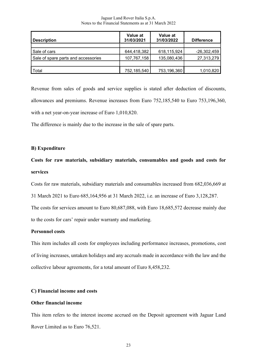| <b>Description</b>                  | Value at<br>31/03/2021 | Value at<br>31/03/2022 | <b>Difference</b> |
|-------------------------------------|------------------------|------------------------|-------------------|
|                                     |                        |                        |                   |
| Sale of cars                        | 644,418,382            | 618,115,924            | $-26,302,459$     |
| Sale of spare parts and accessories | 107,767,158            | 135,080,436            | 27,313,279        |
|                                     |                        |                        |                   |
| Total                               | 752,185,540            | 753,196,360            | 1,010,820         |

Revenue from sales of goods and service supplies is stated after deduction of discounts, allowances and premiums. Revenue increases from Euro 752,185,540 to Euro 753,196,360, with a net year-on-year increase of Euro 1,010,820.

The difference is mainly due to the increase in the sale of spare parts.

### B) Expenditure

# Costs for raw materials, subsidiary materials, consumables and goods and costs for services

Costs for raw materials, subsidiary materials and consumables increased from 682,036,669 at

31 March 2021 to Euro 685,164,956 at 31 March 2022, i.e. an increase of Euro 3,128,287.

The costs for services amount to Euro 80,687,088, with Euro 18,685,572 decrease mainly due to the costs for cars' repair under warranty and marketing.

### Personnel costs

This item includes all costs for employees including performance increases, promotions, cost of living increases, untaken holidays and any accruals made in accordance with the law and the collective labour agreements, for a total amount of Euro 8,458,232.

### C) Financial income and costs

### Other financial income

This item refers to the interest income accrued on the Deposit agreement with Jaguar Land Rover Limited as to Euro 76,521.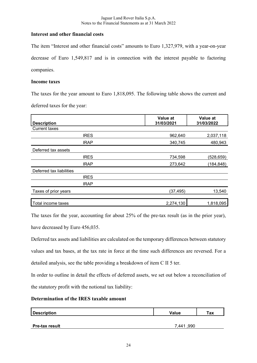# Interest and other financial costs

The item "Interest and other financial costs" amounts to Euro 1,327,979, with a year-on-year decrease of Euro 1,549,817 and is in connection with the interest payable to factoring companies.

# Income taxes

The taxes for the year amount to Euro 1,818,095. The following table shows the current and deferred taxes for the year:

| <b>Description</b>       | Value at<br>31/03/2021 | Value at<br>31/03/2022 |
|--------------------------|------------------------|------------------------|
| <b>Current taxes</b>     |                        |                        |
| <b>IRES</b>              | 962,640                | 2,037,118              |
| <b>IRAP</b>              | 340,745                | 480,943                |
| Deferred tax assets      |                        |                        |
| <b>IRES</b>              | 734,598                | (528, 659)             |
| <b>IRAP</b>              | 273,642                | (184, 848)             |
| Deferred tax liabilities |                        |                        |
| <b>IRES</b>              |                        |                        |
| <b>IRAP</b>              |                        |                        |
| Taxes of prior years     | (37, 495)              | 13,540                 |
| Total income taxes       | 2,274,130              | 1,818,095              |

The taxes for the year, accounting for about 25% of the pre-tax result (as in the prior year), have decreased by Euro 456,035.

Deferred tax assets and liabilities are calculated on the temporary differences between statutory values and tax bases, at the tax rate in force at the time such differences are reversed. For a detailed analysis, see the table providing a breakdown of item C II 5 ter.

In order to outline in detail the effects of deferred assets, we set out below a reconciliation of the statutory profit with the notional tax liability:

# Determination of the IRES taxable amount

| Description           | Value         | тах |
|-----------------------|---------------|-----|
| <b>Pre-tax result</b> | ,990<br>7.441 |     |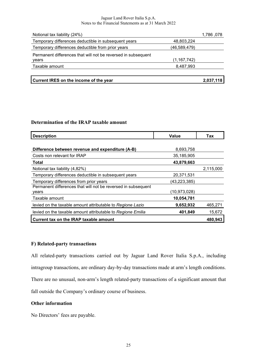| Current IRES on the income of the year                                 |               | 2,037,118 |
|------------------------------------------------------------------------|---------------|-----------|
| Taxable amount                                                         | 8,487,993     |           |
| Permanent differences that will not be reversed in subsequent<br>years | (1, 167, 742) |           |
| Temporary differences deductible from prior years                      | (46,589,479)  |           |
| Temporary differences deductible in subsequent years                   | 48,803,224    |           |
| Notional tax liability (24%)                                           |               | 1,786,078 |

# Determination of the IRAP taxable amount

| <b>Description</b>                                            | <b>Value</b>   | Tax       |
|---------------------------------------------------------------|----------------|-----------|
|                                                               |                |           |
| Difference between revenue and expenditure (A-B)              | 8,693,758      |           |
| Costs non relevant for IRAP                                   | 35,185,905     |           |
| Total                                                         | 43,879,663     |           |
| Notional tax liability (4,82%)                                |                | 2,115,000 |
| Temporary differences deductible in subsequent years          | 20,371,531     |           |
| Temporary differences from prior years                        | (43,223,385)   |           |
| Permanent differences that will not be reversed in subsequent |                |           |
| years                                                         | (10, 973, 028) |           |
| Taxable amount                                                | 10,054,781     |           |
| levied on the taxable amount attributable to Regione Lazio    | 9,652,932      | 465,271   |
| levied on the taxable amount attributable to Regione Emilia   | 401,849        | 15,672    |
| Current tax on the IRAP taxable amount                        |                | 480,943   |

# F) Related-party transactions

All related-party transactions carried out by Jaguar Land Rover Italia S.p.A., including intragroup transactions, are ordinary day-by-day transactions made at arm's length conditions. There are no unusual, non-arm's length related-party transactions of a significant amount that fall outside the Company's ordinary course of business.

## Other information

No Directors' fees are payable.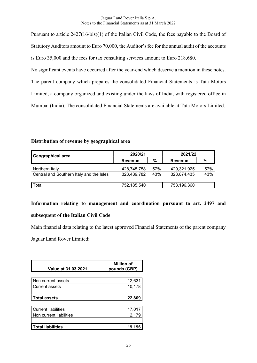Pursuant to article 2427(16-bis)(1) of the Italian Civil Code, the fees payable to the Board of Statutory Auditors amount to Euro 70,000, the Auditor's fee for the annual audit of the accounts is Euro 35,000 and the fees for tax consulting services amount to Euro 218,680.

No significant events have occurred after the year-end which deserve a mention in these notes. The parent company which prepares the consolidated Financial Statements is Tata Motors Limited, a company organized and existing under the laws of India, with registered office in Mumbai (India). The consolidated Financial Statements are available at Tata Motors Limited.

# Distribution of revenue by geographical area

| Geographical area                        | 2020/21     |     | 2021/22        |     |
|------------------------------------------|-------------|-----|----------------|-----|
|                                          | Revenue     | %   | <b>Revenue</b> | %   |
| Northern Italy                           | 428,745,758 | 57% | 429.321.925    | 57% |
| Central and Southern Italy and the Isles | 323,439,782 | 43% | 323,874,435    | 43% |
|                                          |             |     |                |     |
| ™otal                                    | 752,185,540 |     | 753,196,360    |     |

Information relating to management and coordination pursuant to art. 2497 and subsequent of the Italian Civil Code

Main financial data relating to the latest approved Financial Statements of the parent company

Jaguar Land Rover Limited:

| Value at 31.03.2021        | <b>Million of</b><br>pounds (GBP) |  |
|----------------------------|-----------------------------------|--|
|                            |                                   |  |
| Non current assets         | 12,631                            |  |
| <b>Current assets</b>      | 10,178                            |  |
|                            |                                   |  |
| <b>Total assets</b>        | 22,809                            |  |
|                            |                                   |  |
| <b>Current liabilities</b> | 17,017                            |  |
| Non current liabilities    | 2,179                             |  |
|                            |                                   |  |
| <b>Total liabilities</b>   | 19,196                            |  |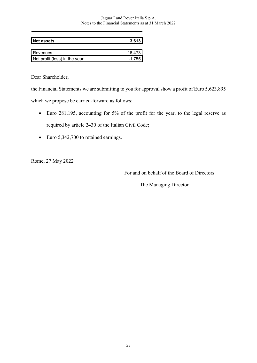| <b>Net assets</b>             | 3,613      |
|-------------------------------|------------|
|                               |            |
| Revenues                      | 16.473     |
| Net profit (loss) in the year | $-1.755$ I |

Dear Shareholder,

the Financial Statements we are submitting to you for approval show a profit of Euro 5,623,895

which we propose be carried-forward as follows:

- Euro 281,195, accounting for 5% of the profit for the year, to the legal reserve as required by article 2430 of the Italian Civil Code;
- Euro 5,342,700 to retained earnings.

Rome, 27 May 2022

For and on behalf of the Board of Directors

The Managing Director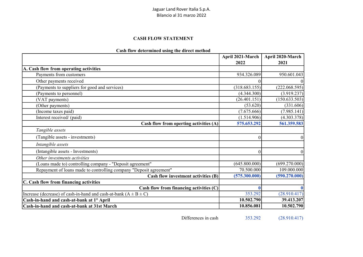# Jaguar Land Rover Italia S.p.A. Bilancio al 31 marzo 2022

### CASH FLOW STATEMENT

# Cash flow determined using the direct method

|                                                                        | April 2021-March | April 2020-March |
|------------------------------------------------------------------------|------------------|------------------|
|                                                                        | 2022             | 2021             |
| A. Cash flow from operating activities                                 |                  |                  |
| Payments from customers                                                | 934.326.089      | 950.601.043      |
| Other payments received                                                |                  |                  |
| (Payments to suppliers for good and services)                          | (318.683.155)    | (222.068.595)    |
| (Payments to personnel)                                                | (4.344.300)      | (3.919.237)      |
| (VAT payments)                                                         | (26.401.151)     | (150.633.503)    |
| (Other payments)                                                       | (53.620)         | (331.606)        |
| (Income taxes paid)                                                    | (7.675.666)      | (7.985.141)      |
| Interest received/ (paid)                                              | (1.514.906)      | (4.303.378)      |
| Cash flow from operting activities (A)                                 | 575.653.292      | 561.359.583      |
| Tangible assets                                                        |                  |                  |
| (Tangible assets - investments)                                        |                  | $\vert 0 \vert$  |
| Intangible assets                                                      |                  |                  |
| (Intangible assets - Investments)                                      |                  | 0                |
| Other investments activities                                           |                  |                  |
| (Loans made to) controlling company - "Deposit agreement"              | (645.800.000)    | (699.270.000)    |
| Repayment of loans made to controlling company "Deposit agreement"     | 70.500.000       | 109.000.000      |
| Cash flow investment activities (B)                                    | (575.300.000)    | (590.270.000)    |
| C. Cash flow from financing activities                                 |                  |                  |
| Cash flow from financing activities (C)                                |                  | 0                |
| Increase (decrease) of cash-in-hand and cash-at-bank $(A \pm B \pm C)$ | 353.292          | (28.910.417)     |
| Cash-in-hand and cash-at-bank at 1° April                              | 10.502.790       | 39.413.207       |
| Cash-in-hand and cash-at-bank at 31st March                            | 10.856.081       | 10.502.790       |

Differences in cash 353.292 (28.910.417)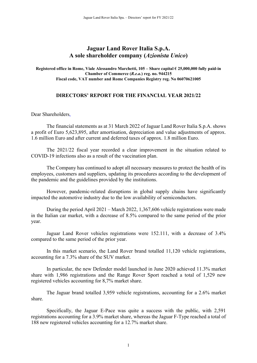# Jaguar Land Rover Italia S.p.A. A sole shareholder company (Azionista Unico)

Registered office in Rome, Viale Alessandro Marchetti, 105 – Share capital € 25,000,000 fully paid-in Chamber of Commerce (R.e.a.) reg. no. 944215 Fiscal code, VAT number and Rome Companies Registry reg. No 06070621005

# DIRECTORS' REPORT FOR THE FINANCIAL YEAR 2021/22

Dear Shareholders,

The financial statements as at 31 March 2022 of Jaguar Land Rover Italia S.p.A. shows a profit of Euro 5,623,895, after amortisation, depreciation and value adjustments of approx. 1.6 million Euro and after current and deferred taxes of approx. 1.8 million Euro.

The 2021/22 fiscal year recorded a clear improvement in the situation related to COVID-19 infections also as a result of the vaccination plan.

The Company has continued to adopt all necessary measures to protect the health of its employees, customers and suppliers, updating its procedures according to the development of the pandemic and the guidelines provided by the institutions.

However, pandemic-related disruptions in global supply chains have significantly impacted the automotive industry due to the low availability of semiconductors.

During the period April 2021 – March 2022, 1,367,606 vehicle registrations were made in the Italian car market, with a decrease of 8.5% compared to the same period of the prior year.

Jaguar Land Rover vehicles registrations were 152.111, with a decrease of 3.4% compared to the same period of the prior year.

In this market scenario, the Land Rover brand totalled 11,120 vehicle registrations, accounting for a 7.3% share of the SUV market.

In particular, the new Defender model launched in June 2020 achieved 11.3% market share with 1,986 registrations and the Range Rover Sport reached a total of 1,529 new registered vehicles accounting for 8,7% market share.

The Jaguar brand totalled 3,959 vehicle registrations, accounting for a 2.6% market share.

Specifically, the Jaguar E-Pace was quite a success with the public, with 2,591 registrations accounting for a 3.9% market share, whereas the Jaguar F-Type reached a total of 188 new registered vehicles accounting for a 12.7% market share.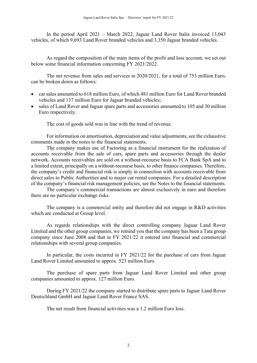In the period April 2021 – March 2022, Jaguar Land Rover Italia invoiced 13,043 vehicles, of which 9,693 Land Rover branded vehicles and 3,350 Jaguar branded vehicles.

As regard the composition of the main items of the profit and loss account, we set out below some financial information concerning FY 2021/2022.

The net revenue from sales and services in 2020/2021, for a total of 753 million Euro, can be broken down as follows:

- car sales amounted to 618 million Euro, of which 481 million Euro for Land Rover branded vehicles and 137 million Euro for Jaguar branded vehicles;
- sales of Land Rover and Jaguar spare parts and accessories amounted to 105 and 30 million Euro respectively.

The cost of goods sold was in line with the trend of revenue.

For information on amortisation, depreciation and value adjustments, see the exhaustive comments made in the notes to the financial statements.

The company makes use of Factoring as a financial instrument for the realization of accounts receivable from the sale of cars, spare parts and accessories through the dealer network. Accounts receivables are sold on a without-recourse basis to FCA Bank SpA and to a limited extent, principally on a without-recourse basis, to other finance companies. Therefore, the company's credit and financial risk is simply in connection with accounts receivable from direct sales to Public Authorities and to major car rental companies. For a detailed description of the company's financial risk management policies, see the Notes to the financial statements.

The company's commercial transactions are almost exclusively in euro and therefore there are no particular exchange risks.

The company is a commercial entity and therefore did not engage in R&D activities which are conducted at Group level.

As regards relationships with the direct controlling company Jaguar Land Rover Limited and the other group companies, we remind you that the company has been a Tata group company since June 2008 and that in FY 2021/22 it entered into financial and commercial relationships with several group companies.

In particular, the costs incurred in FY 2021/22 for the purchase of cars from Jaguar Land Rover Limited amounted to approx. 523 million Euro.

The purchase of spare parts from Jaguar Land Rover Limited and other group companies amounted to approx. 127 million Euro.

During FY 2021/22 the company started to distribute spare parts to Jaguar Land Rover Deutschland GmbH and Jaguar Land Rover France SAS.

The net result from financial activities was a 1.2 million Euro loss.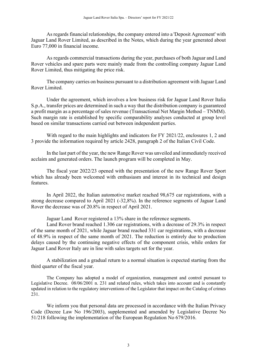As regards financial relationships, the company entered into a 'Deposit Agreement' with Jaguar Land Rover Limited, as described in the Notes, which during the year generated about Euro 77,000 in financial income.

As regards commercial transactions during the year, purchases of both Jaguar and Land Rover vehicles and spare parts were mainly made from the controlling company Jaguar Land Rover Limited, thus mitigating the price risk.

The company carries on business pursuant to a distribution agreement with Jaguar Land Rover Limited.

Under the agreement, which involves a low business risk for Jaguar Land Rover Italia S.p.A., transfer prices are determined in such a way that the distribution company is guaranteed a profit margin as a percentage of sales revenue (Transactional Net Margin Method – TNMM). Such margin rate is established by specific comparability analyses conducted at group level based on similar transactions carried out between independent parties.

With regard to the main highlights and indicators for FY 2021/22, enclosures 1, 2 and 3 provide the information required by article 2428, paragraph 2 of the Italian Civil Code.

In the last part of the year, the new Range Rover was unveiled and immediately received acclaim and generated orders. The launch program will be completed in May.

The fiscal year 2022/23 opened with the presentation of the new Range Rover Sport which has already been welcomed with enthusiasm and interest in its technical and design features.

In April 2022, the Italian automotive market reached 98,675 car registrations, with a strong decrease compared to April 2021 (-32,8%). In the reference segments of Jaguar Land Rover the decrease was of 20.8% in respect of April 2021.

Jaguar Land Rover registered a 13% share in the reference segments.

Land Rover brand reached 1.306 car registrations, with a decrease of 29.3% in respect of the same month of 2021, while Jaguar brand reached 331 car registrations, with a decrease of 48.9% in respect of the same month of 2021. The reduction is entirely due to production delays caused by the continuing negative effects of the component crisis, while orders for Jaguar Land Rover Italy are in line with sales targets set for the year.

A stabilization and a gradual return to a normal situation is expected starting from the third quarter of the fiscal year.

The Company has adopted a model of organization, management and control pursuant to Legislative Decree. 08/06/2001 n. 231 and related rules, which takes into account and is constantly updated in relation to the regulatory interventions of the Legislator that impact on the Catalog of crimes 231.

We inform you that personal data are processed in accordance with the Italian Privacy Code (Decree Law No 196/2003), supplemented and amended by Legislative Decree No 51/218 following the implementation of the European Regulation No 679/2016.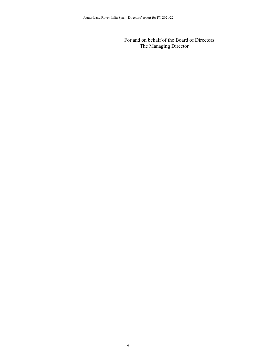For and on behalf of the Board of Directors The Managing Director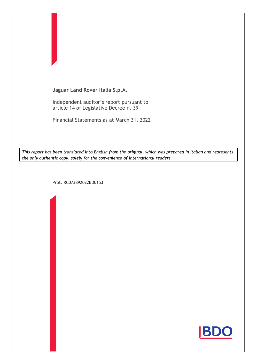

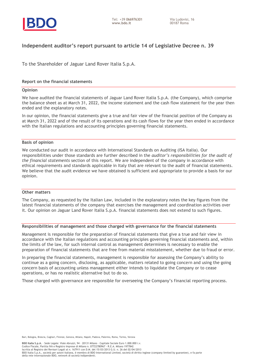

# **Independent auditor's report pursuant to article 14 of Legislative Decree n. 39**

To the Shareholder of Jaguar Land Rover Italia S.p.A.

### **Report on the financial statements**

#### **Opinion**

We have audited the financial statements of Jaguar Land Rover Italia S.p.A. (the Company), which comprise the balance sheet as at March 31, 2022, the income statement and the cash flow statement for the year then ended and the explanatory notes.

In our opinion, the financial statements give a true and fair view of the financial position of the Company as at March 31, 2022 and of the result of its operations and its cash flows for the year then ended in accordance with the Italian regulations and accounting principles governing financial statements.

#### **Basis of opinion**

We conducted our audit in accordance with International Standards on Auditing (ISA Italia). Our responsibilities under those standards are further described in the *auditor's responsibilities for the audit of the financial statements* section of this report. We are independent of the company in accordance with ethical requirements and standards applicable in Italy that are relevant to the audit of financial statements. We believe that the audit evidence we have obtained is sufficient and appropriate to provide a basis for our opinion.

### **Other matters**

The Company, as requested by the Italian Law, included in the explanatory notes the key figures from the latest financial statements of the company that exercises the management and coordination activities over it. Our opinion on Jaguar Land Rover Italia S.p.A. financial statements does not extend to such figures.

### **Responsibilities of management and those charged with governance for the financial statements**

Management is responsible for the preparation of financial statements that give a true and fair view in accordance with the Italian regulations and accounting principles governing financial statements and, within the limits of the law, for such internal control as management determines is necessary to enable the preparation of financial statements that are free from material misstatement, whether due to fraud or error.

In preparing the financial statements, management is responsible for assessing the Company's ability to continue as a going concern, disclosing, as applicable, matters related to going concern and using the going concern basis of accounting unless management either intends to liquidate the Company or to cease operations, or has no realistic alternative but to do so.

Those charged with governance are responsible for overseeing the Company's financial reporting process.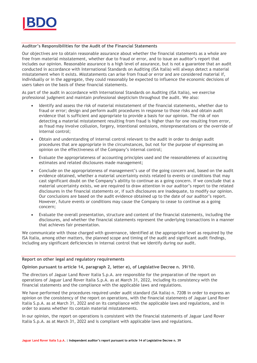

### **Auditor's Responsibilities for the Audit of the Financial Statements**

Our objectives are to obtain reasonable assurance about whether the financial statements as a whole are free from material misstatement, whether due to fraud or error, and to issue an auditor's report that includes our opinion. Reasonable assurance is a high level of assurance, but is not a guarantee that an audit conducted in accordance with International Standards on Auditing (ISA Italia) will always detect a material misstatement when it exists. Misstatements can arise from fraud or error and are considered material if, individually or in the aggregate, they could reasonably be expected to influence the economic decisions of users taken on the basis of these financial statements.

As part of the audit in accordance with International Standards on Auditing (ISA Italia), we exercise professional judgment and maintain professional skepticism throughout the audit. We also:

- Identify and assess the risk of material misstatement of the financial statements, whether due to fraud or error; design and perform audit procedures in response to those risks and obtain audit evidence that is sufficient and appropriate to provide a basis for our opinion. The risk of non detecting a material misstatement resulting from fraud is higher than for one resulting from error, as fraud may involve collusion, forgery, intentional omissions, misrepresentations or the override of internal control;
- Obtain and understanding of internal control relevant to the audit in order to design audit procedures that are appropriate in the circumstances, but not for the purpose of expressing an opinion on the effectiveness of the Company's internal control;
- Evaluate the appropriateness of accounting principles used and the reasonableness of accounting estimates and related disclosures made management;
- Conclude on the appropriateness of management's use of the going concern and, based on the audit evidence obtained, whether a material uncertainty exists related to events or conditions that may cast significant doubt on the Company's ability to continue as a going concern. If we conclude that a material uncertainty exists, we are required to draw attention in our auditor's report to the related disclosures in the financial statements or, if such disclosures are inadequate, to modify our opinion. Our conclusions are based on the audit evidence obtained up to the date of our auditor's report. However, future events or conditions may cause the Company to cease to continue as a going concern;
- Evaluate the overall presentation, structure and content of the financial statements, including the disclosures, and whether the financial statements represent the underlying transactions in a manner that achieves fair presentation.

We communicate with those charged with governance, identified at the appropriate level as required by the ISA Italia, among other matters, the planned scope and timing of the audit and significant audit findings, including any significant deficiencies in internal control that we identify during our audit.

### **Report on other legal and regulatory requirements**

**Opinion pursuant to article 14, paragraph 2, letter e), of Legislative Decree n. 39/10.** 

The directors of Jaguar Land Rover Italia S.p.A. are responsible for the preparation of the report on operations of Jaguar Land Rover Italia S.p.A. as at March 31, 2022, including its consistency with the financial statements and the compliance with the applicable laws and regulations.

We have performed the procedures required under audit standard (SA Italia) n. 720B in order to express an opinion on the consistency of the report on operations, with the financial statements of Jaguar Land Rover Italia S.p.A. as at March 31, 2022 and on its compliance with the applicable laws and regulations, and in order to assess whether its contain material misstatements.

In our opinion, the report on operations is consistent with the financial statements of Jaguar Land Rover Italia S.p.A. as at March 31, 2022 and is compliant with applicable laws and regulations.